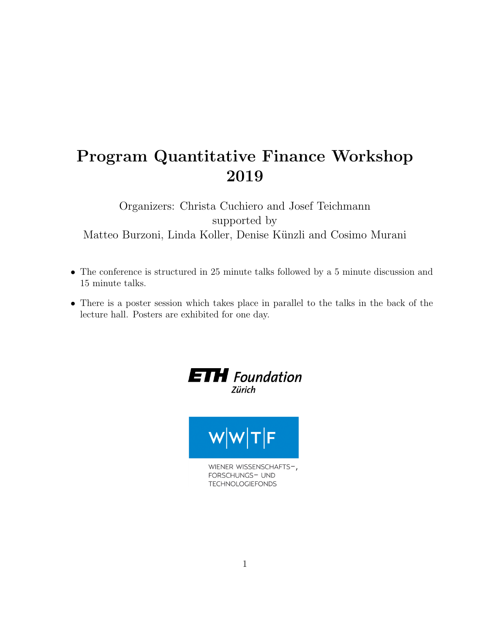## Program Quantitative Finance Workshop 2019

Organizers: Christa Cuchiero and Josef Teichmann supported by Matteo Burzoni, Linda Koller, Denise Künzli and Cosimo Murani

- The conference is structured in 25 minute talks followed by a 5 minute discussion and 15 minute talks.
- There is a poster session which takes place in parallel to the talks in the back of the lecture hall. Posters are exhibited for one day.

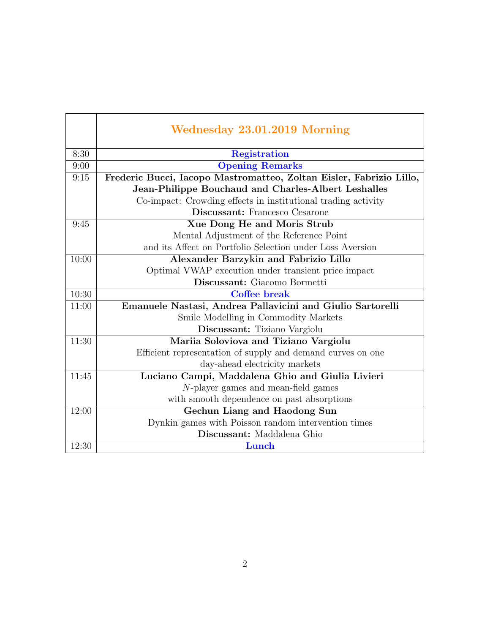|       | Wednesday 23.01.2019 Morning                                        |
|-------|---------------------------------------------------------------------|
| 8:30  | <b>Registration</b>                                                 |
| 9:00  | <b>Opening Remarks</b>                                              |
| 9:15  | Frederic Bucci, Iacopo Mastromatteo, Zoltan Eisler, Fabrizio Lillo, |
|       | Jean-Philippe Bouchaud and Charles-Albert Leshalles                 |
|       | Co-impact: Crowding effects in institutional trading activity       |
|       | Discussant: Francesco Cesarone                                      |
| 9:45  | Xue Dong He and Moris Strub                                         |
|       | Mental Adjustment of the Reference Point                            |
|       | and its Affect on Portfolio Selection under Loss Aversion           |
| 10:00 | Alexander Barzykin and Fabrizio Lillo                               |
|       | Optimal VWAP execution under transient price impact                 |
|       | Discussant: Giacomo Bormetti                                        |
| 10:30 | <b>Coffee break</b>                                                 |
| 11:00 | Emanuele Nastasi, Andrea Pallavicini and Giulio Sartorelli          |
|       | Smile Modelling in Commodity Markets                                |
|       | Discussant: Tiziano Vargiolu                                        |
| 11:30 | Mariia Soloviova and Tiziano Vargiolu                               |
|       | Efficient representation of supply and demand curves on one         |
|       | day-ahead electricity markets                                       |
| 11:45 | Luciano Campi, Maddalena Ghio and Giulia Livieri                    |
|       | $N$ -player games and mean-field games                              |
|       | with smooth dependence on past absorptions                          |
| 12:00 | Gechun Liang and Haodong Sun                                        |
|       | Dynkin games with Poisson random intervention times                 |
|       | Discussant: Maddalena Ghio                                          |
| 12:30 | Lunch                                                               |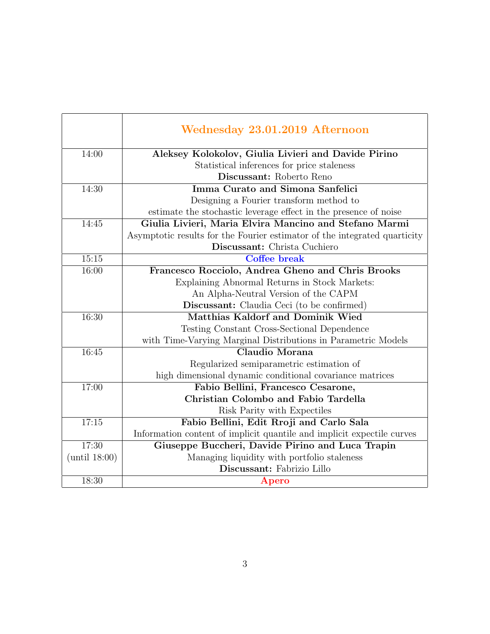|               | Wednesday 23.01.2019 Afternoon                                            |
|---------------|---------------------------------------------------------------------------|
| 14:00         | Aleksey Kolokolov, Giulia Livieri and Davide Pirino                       |
|               | Statistical inferences for price staleness                                |
|               | Discussant: Roberto Reno                                                  |
| 14:30         | Imma Curato and Simona Sanfelici                                          |
|               | Designing a Fourier transform method to                                   |
|               | estimate the stochastic leverage effect in the presence of noise          |
| 14:45         | Giulia Livieri, Maria Elvira Mancino and Stefano Marmi                    |
|               | Asymptotic results for the Fourier estimator of the integrated quarticity |
|               | Discussant: Christa Cuchiero                                              |
| 15:15         | <b>Coffee break</b>                                                       |
| 16:00         | Francesco Rocciolo, Andrea Gheno and Chris Brooks                         |
|               | Explaining Abnormal Returns in Stock Markets:                             |
|               | An Alpha-Neutral Version of the CAPM                                      |
|               | <b>Discussant:</b> Claudia Ceci (to be confirmed)                         |
| 16:30         | <b>Matthias Kaldorf and Dominik Wied</b>                                  |
|               | Testing Constant Cross-Sectional Dependence                               |
|               | with Time-Varying Marginal Distributions in Parametric Models             |
| 16:45         | Claudio Morana                                                            |
|               | Regularized semiparametric estimation of                                  |
|               | high dimensional dynamic conditional covariance matrices                  |
| 17:00         | Fabio Bellini, Francesco Cesarone,                                        |
|               | Christian Colombo and Fabio Tardella                                      |
|               | Risk Parity with Expectiles                                               |
| 17:15         | Fabio Bellini, Edit Rroji and Carlo Sala                                  |
|               | Information content of implicit quantile and implicit expectile curves    |
| 17:30         | Giuseppe Buccheri, Davide Pirino and Luca Trapin                          |
| (until 18:00) | Managing liquidity with portfolio staleness                               |
|               | Discussant: Fabrizio Lillo                                                |
| 18:30         | Apero                                                                     |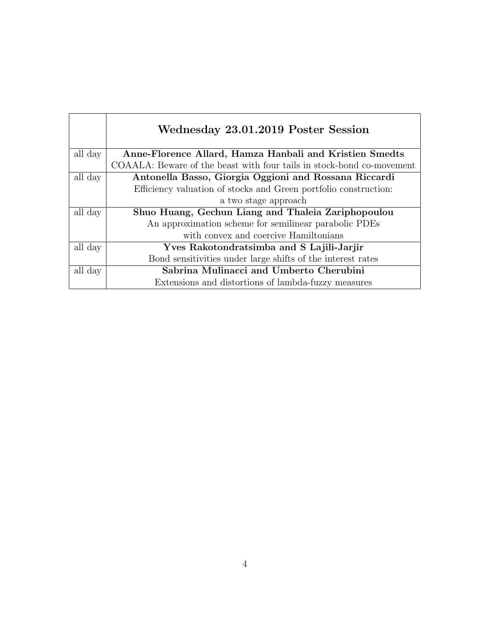|         | Wednesday 23.01.2019 Poster Session                                   |
|---------|-----------------------------------------------------------------------|
| all day | Anne-Florence Allard, Hamza Hanbali and Kristien Smedts               |
|         | COAALA: Beware of the beast with four tails in stock-bond co-movement |
| all day | Antonella Basso, Giorgia Oggioni and Rossana Riccardi                 |
|         | Efficiency valuation of stocks and Green portfolio construction:      |
|         | a two stage approach                                                  |
| all day | Shuo Huang, Gechun Liang and Thaleia Zariphopoulou                    |
|         | An approximation scheme for semilinear parabolic PDEs                 |
|         | with convex and coercive Hamiltonians                                 |
| all day | Yves Rakotondratsimba and S Lajili-Jarjir                             |
|         | Bond sensitivities under large shifts of the interest rates           |
| all day | Sabrina Mulinacci and Umberto Cherubini                               |
|         | Extensions and distortions of lambda-fuzzy measures                   |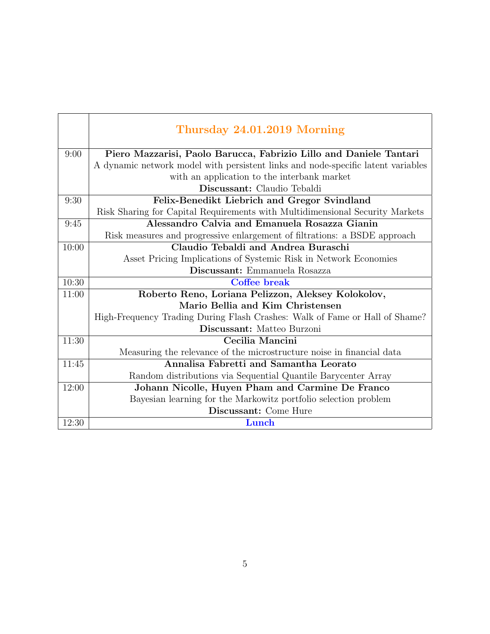|       | Thursday 24.01.2019 Morning                                                      |
|-------|----------------------------------------------------------------------------------|
| 9:00  | Piero Mazzarisi, Paolo Barucca, Fabrizio Lillo and Daniele Tantari               |
|       | A dynamic network model with persistent links and node-specific latent variables |
|       | with an application to the interbank market                                      |
|       | Discussant: Claudio Tebaldi                                                      |
| 9:30  | Felix-Benedikt Liebrich and Gregor Svindland                                     |
|       | Risk Sharing for Capital Requirements with Multidimensional Security Markets     |
| 9:45  | Alessandro Calvia and Emanuela Rosazza Gianin                                    |
|       | Risk measures and progressive enlargement of filtrations: a BSDE approach        |
| 10:00 | Claudio Tebaldi and Andrea Buraschi                                              |
|       | Asset Pricing Implications of Systemic Risk in Network Economies                 |
|       | Discussant: Emmanuela Rosazza                                                    |
| 10:30 | Coffee break                                                                     |
| 11:00 | Roberto Reno, Loriana Pelizzon, Aleksey Kolokolov,                               |
|       | Mario Bellia and Kim Christensen                                                 |
|       | High-Frequency Trading During Flash Crashes: Walk of Fame or Hall of Shame?      |
|       | Discussant: Matteo Burzoni                                                       |
| 11:30 | Cecilia Mancini                                                                  |
|       | Measuring the relevance of the microstructure noise in financial data            |
| 11:45 | Annalisa Fabretti and Samantha Leorato                                           |
|       | Random distributions via Sequential Quantile Barycenter Array                    |
| 12:00 | Johann Nicolle, Huyen Pham and Carmine De Franco                                 |
|       | Bayesian learning for the Markowitz portfolio selection problem                  |
|       | Discussant: Come Hure                                                            |
| 12:30 | Lunch                                                                            |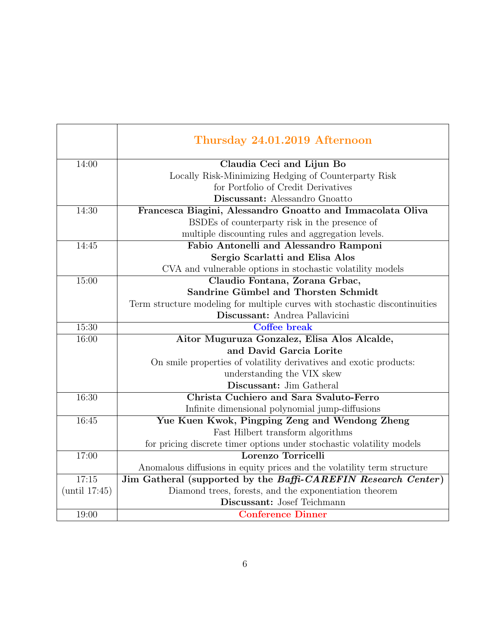|               | Thursday 24.01.2019 Afternoon                                               |
|---------------|-----------------------------------------------------------------------------|
| 14:00         | Claudia Ceci and Lijun Bo                                                   |
|               | Locally Risk-Minimizing Hedging of Counterparty Risk                        |
|               | for Portfolio of Credit Derivatives                                         |
|               | Discussant: Alessandro Gnoatto                                              |
| 14:30         | Francesca Biagini, Alessandro Gnoatto and Immacolata Oliva                  |
|               | BSDEs of counterparty risk in the presence of                               |
|               | multiple discounting rules and aggregation levels.                          |
| 14:45         | Fabio Antonelli and Alessandro Ramponi                                      |
|               | Sergio Scarlatti and Elisa Alos                                             |
|               | CVA and vulnerable options in stochastic volatility models                  |
| 15:00         | Claudio Fontana, Zorana Grbac,                                              |
|               | Sandrine Gümbel and Thorsten Schmidt                                        |
|               | Term structure modeling for multiple curves with stochastic discontinuities |
|               | Discussant: Andrea Pallavicini                                              |
| 15:30         | <b>Coffee break</b>                                                         |
| 16:00         | Aitor Muguruza Gonzalez, Elisa Alos Alcalde,                                |
|               | and David Garcia Lorite                                                     |
|               | On smile properties of volatility derivatives and exotic products:          |
|               | understanding the VIX skew                                                  |
|               | Discussant: Jim Gatheral                                                    |
| 16:30         | Christa Cuchiero and Sara Svaluto-Ferro                                     |
|               | Infinite dimensional polynomial jump-diffusions                             |
| 16:45         | Yue Kuen Kwok, Pingping Zeng and Wendong Zheng                              |
|               | Fast Hilbert transform algorithms                                           |
|               | for pricing discrete timer options under stochastic volatility models       |
| 17:00         | Lorenzo Torricelli                                                          |
|               | Anomalous diffusions in equity prices and the volatility term structure     |
| 17:15         | Jim Gatheral (supported by the Baffi-CAREFIN Research Center)               |
| (until 17:45) | Diamond trees, forests, and the exponentiation theorem                      |
|               | Discussant: Josef Teichmann                                                 |
| 19:00         | <b>Conference Dinner</b>                                                    |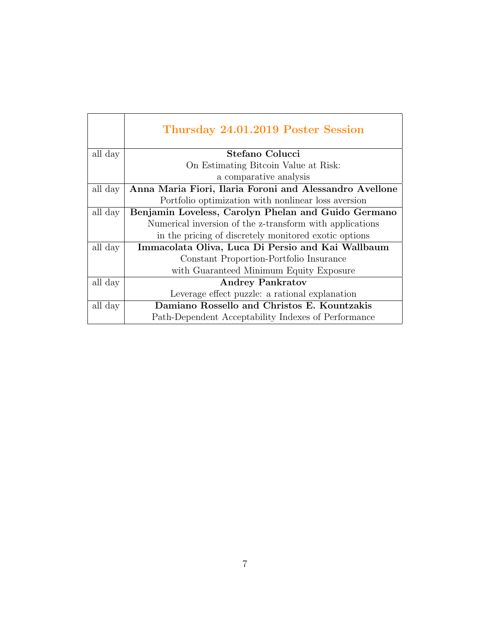|         | Thursday 24.01.2019 Poster Session                       |
|---------|----------------------------------------------------------|
| all day | Stefano Colucci                                          |
|         | On Estimating Bitcoin Value at Risk:                     |
|         | a comparative analysis                                   |
| all day | Anna Maria Fiori, Ilaria Foroni and Alessandro Avellone  |
|         | Portfolio optimization with nonlinear loss aversion      |
| all day | Benjamin Loveless, Carolyn Phelan and Guido Germano      |
|         | Numerical inversion of the z-transform with applications |
|         | in the pricing of discretely monitored exotic options    |
| all day | Immacolata Oliva, Luca Di Persio and Kai Wallbaum        |
|         | Constant Proportion-Portfolio Insurance                  |
|         | with Guaranteed Minimum Equity Exposure                  |
| all day | <b>Andrey Pankratov</b>                                  |
|         | Leverage effect puzzle: a rational explanation           |
| all day | Damiano Rossello and Christos E. Kountzakis              |
|         | Path-Dependent Acceptability Indexes of Performance      |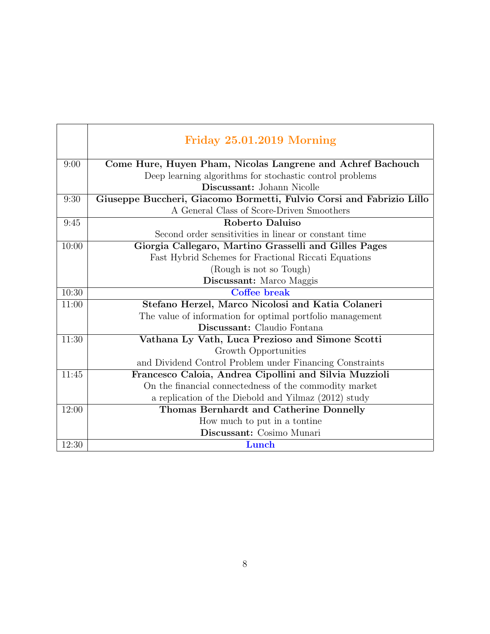|       | Friday 25.01.2019 Morning                                            |
|-------|----------------------------------------------------------------------|
| 9:00  | Come Hure, Huyen Pham, Nicolas Langrene and Achref Bachouch          |
|       | Deep learning algorithms for stochastic control problems             |
|       | Discussant: Johann Nicolle                                           |
| 9:30  | Giuseppe Buccheri, Giacomo Bormetti, Fulvio Corsi and Fabrizio Lillo |
|       | A General Class of Score-Driven Smoothers                            |
| 9:45  | Roberto Daluiso                                                      |
|       | Second order sensitivities in linear or constant time                |
| 10:00 | Giorgia Callegaro, Martino Grasselli and Gilles Pages                |
|       | Fast Hybrid Schemes for Fractional Riccati Equations                 |
|       | (Rough is not so Tough)                                              |
|       | Discussant: Marco Maggis                                             |
| 10:30 | Coffee break                                                         |
| 11:00 | Stefano Herzel, Marco Nicolosi and Katia Colaneri                    |
|       | The value of information for optimal portfolio management            |
|       | Discussant: Claudio Fontana                                          |
| 11:30 | Vathana Ly Vath, Luca Prezioso and Simone Scotti                     |
|       | Growth Opportunities                                                 |
|       | and Dividend Control Problem under Financing Constraints             |
| 11:45 | Francesco Caloia, Andrea Cipollini and Silvia Muzzioli               |
|       | On the financial connectedness of the commodity market               |
|       | a replication of the Diebold and Yilmaz (2012) study                 |
| 12:00 | Thomas Bernhardt and Catherine Donnelly                              |
|       | How much to put in a tontine                                         |
|       | Discussant: Cosimo Munari                                            |
| 12:30 | Lunch                                                                |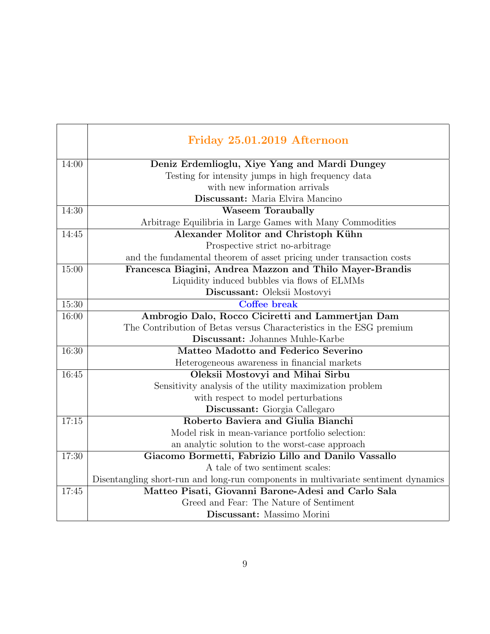|       | Friday 25.01.2019 Afternoon                                                        |
|-------|------------------------------------------------------------------------------------|
| 14:00 | Deniz Erdemlioglu, Xiye Yang and Mardi Dungey                                      |
|       | Testing for intensity jumps in high frequency data                                 |
|       | with new information arrivals                                                      |
|       | Discussant: Maria Elvira Mancino                                                   |
| 14:30 | <b>Waseem Toraubally</b>                                                           |
|       | Arbitrage Equilibria in Large Games with Many Commodities                          |
| 14:45 | Alexander Molitor and Christoph Kühn                                               |
|       | Prospective strict no-arbitrage                                                    |
|       | and the fundamental theorem of asset pricing under transaction costs               |
| 15:00 | Francesca Biagini, Andrea Mazzon and Thilo Mayer-Brandis                           |
|       | Liquidity induced bubbles via flows of ELMMs                                       |
|       | Discussant: Oleksii Mostovyi                                                       |
| 15:30 | Coffee break                                                                       |
| 16:00 | Ambrogio Dalo, Rocco Ciciretti and Lammertjan Dam                                  |
|       | The Contribution of Betas versus Characteristics in the ESG premium                |
|       | Discussant: Johannes Muhle-Karbe                                                   |
| 16:30 | Matteo Madotto and Federico Severino                                               |
|       | Heterogeneous awareness in financial markets                                       |
| 16:45 | Oleksii Mostovyi and Mihai Sirbu                                                   |
|       | Sensitivity analysis of the utility maximization problem                           |
|       | with respect to model perturbations                                                |
|       | Discussant: Giorgia Callegaro                                                      |
| 17:15 | Roberto Baviera and Giulia Bianchi                                                 |
|       | Model risk in mean-variance portfolio selection:                                   |
|       | an analytic solution to the worst-case approach                                    |
| 17:30 | Giacomo Bormetti, Fabrizio Lillo and Danilo Vassallo                               |
|       | A tale of two sentiment scales:                                                    |
|       | Disentangling short-run and long-run components in multivariate sentiment dynamics |
| 17:45 | Matteo Pisati, Giovanni Barone-Adesi and Carlo Sala                                |
|       | Greed and Fear: The Nature of Sentiment                                            |
|       | Discussant: Massimo Morini                                                         |